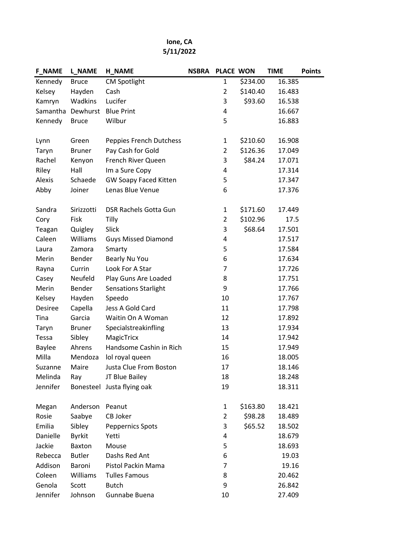## Ione, CA 5/11/2022

| <b>F_NAME</b> | <b>L_NAME</b>     | <b>H_NAME</b>                | <b>NSBRA</b> | <b>PLACE WON</b> |          | <b>TIME</b> | <b>Points</b> |
|---------------|-------------------|------------------------------|--------------|------------------|----------|-------------|---------------|
| Kennedy       | <b>Bruce</b>      | <b>CM Spotlight</b>          |              | 1                | \$234.00 | 16.385      |               |
| Kelsey        | Hayden            | Cash                         |              | $\overline{2}$   | \$140.40 | 16.483      |               |
| Kamryn        | Wadkins           | Lucifer                      |              | 3                | \$93.60  | 16.538      |               |
|               | Samantha Dewhurst | <b>Blue Print</b>            |              | 4                |          | 16.667      |               |
| Kennedy       | <b>Bruce</b>      | Wilbur                       |              | 5                |          | 16.883      |               |
|               |                   |                              |              |                  |          |             |               |
| Lynn          | Green             | Peppies French Dutchess      |              | $\mathbf{1}$     | \$210.60 | 16.908      |               |
| Taryn         | <b>Bruner</b>     | Pay Cash for Gold            |              | $\overline{2}$   | \$126.36 | 17.049      |               |
| Rachel        | Kenyon            | French River Queen           |              | 3                | \$84.24  | 17.071      |               |
| Riley         | Hall              | Im a Sure Copy               |              | 4                |          | 17.314      |               |
| Alexis        | Schaede           | <b>GW Soapy Faced Kitten</b> |              | 5                |          | 17.347      |               |
| Abby          | Joiner            | Lenas Blue Venue             |              | 6                |          | 17.376      |               |
| Sandra        | Sirizzotti        | DSR Rachels Gotta Gun        |              | $\mathbf{1}$     | \$171.60 | 17.449      |               |
| Cory          | Fisk              | Tilly                        |              | $\overline{2}$   | \$102.96 | 17.5        |               |
| Teagan        | Quigley           | Slick                        |              | 3                | \$68.64  | 17.501      |               |
| Caleen        | Williams          | <b>Guys Missed Diamond</b>   |              | 4                |          | 17.517      |               |
| Laura         | Zamora            | Smarty                       |              | 5                |          | 17.584      |               |
| Merin         | Bender            | Bearly Nu You                |              | 6                |          | 17.634      |               |
| Rayna         | Currin            | Look For A Star              |              | $\overline{7}$   |          | 17.726      |               |
| Casey         | Neufeld           | Play Guns Are Loaded         |              | 8                |          | 17.751      |               |
| Merin         | Bender            | <b>Sensations Starlight</b>  |              | 9                |          | 17.766      |               |
| Kelsey        | Hayden            | Speedo                       |              | 10               |          | 17.767      |               |
| Desiree       | Capella           | Jess A Gold Card             |              | 11               |          | 17.798      |               |
| Tina          | Garcia            | Waitin On A Woman            |              | 12               |          | 17.892      |               |
| Taryn         | <b>Bruner</b>     | Specialstreakinfling         |              | 13               |          | 17.934      |               |
| Tessa         | Sibley            | MagicTricx                   |              | 14               |          | 17.942      |               |
| <b>Baylee</b> | Ahrens            | Handsome Cashin in Rich      |              | 15               |          | 17.949      |               |
| Milla         | Mendoza           | lol royal queen              |              | 16               |          | 18.005      |               |
| Suzanne       | Maire             | Justa Clue From Boston       |              | 17               |          | 18.146      |               |
| Melinda       | Ray               | JT Blue Bailey               |              | 18               |          | 18.248      |               |
| Jennifer      |                   | Bonesteel Justa flying oak   |              | 19               |          | 18.311      |               |
| Megan         | Anderson          | Peanut                       |              | $\mathbf{1}$     | \$163.80 | 18.421      |               |
| Rosie         | Saabye            | CB Joker                     |              | $\overline{2}$   | \$98.28  | 18.489      |               |
| Emilia        | Sibley            | <b>Peppernics Spots</b>      |              | 3                | \$65.52  | 18.502      |               |
| Danielle      | <b>Byrkit</b>     | Yetti                        |              | 4                |          | 18.679      |               |
| Jackie        | Baxton            | Mouse                        |              | 5                |          | 18.693      |               |
| Rebecca       | <b>Butler</b>     | Dashs Red Ant                |              | 6                |          | 19.03       |               |
| Addison       | Baroni            | Pistol Packin Mama           |              | $\overline{7}$   |          | 19.16       |               |
| Coleen        | Williams          | <b>Tulles Famous</b>         |              | 8                |          | 20.462      |               |
| Genola        | Scott             | <b>Butch</b>                 |              | 9                |          | 26.842      |               |
| Jennifer      | Johnson           | Gunnabe Buena                |              | 10               |          | 27.409      |               |
|               |                   |                              |              |                  |          |             |               |